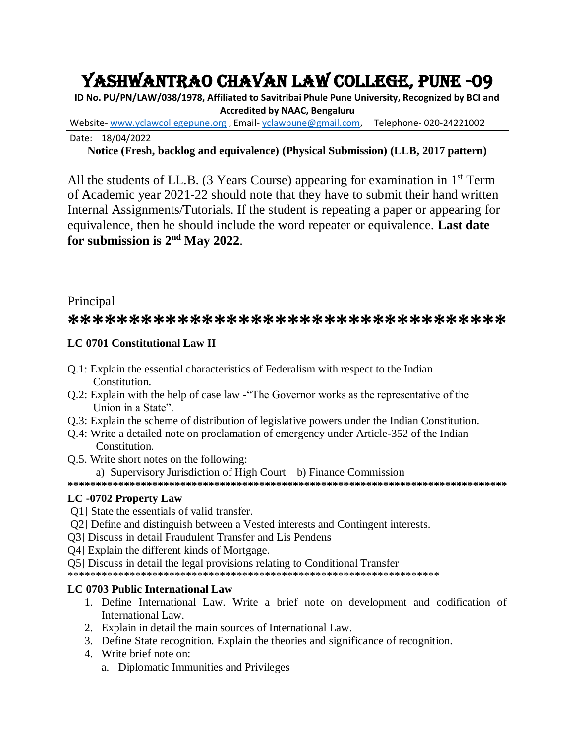# YASHWANTRAO CHAVAN LAW COLLEGE, PUNE -09

**ID No. PU/PN/LAW/038/1978, Affiliated to Savitribai Phule Pune University, Recognized by BCI and Accredited by NAAC, Bengaluru**

Website- [www.yclawcollegepune.org](http://www.yclawcollegepune.org/) , Email- [yclawpune@gmail.com,](mailto:yclawpune@gmail.com) Telephone- 020-24221002

Date: 18/04/2022

# **Notice (Fresh, backlog and equivalence) (Physical Submission) (LLB, 2017 pattern)**

All the students of LL.B. (3 Years Course) appearing for examination in  $1<sup>st</sup>$  Term of Academic year 2021-22 should note that they have to submit their hand written Internal Assignments/Tutorials. If the student is repeating a paper or appearing for equivalence, then he should include the word repeater or equivalence. **Last date for submission is 2nd May 2022**.

# Principal

# \*\*\*\*\*\*\*\*\*\*\*\*\*\*\*\*\*\*\*\*\*\*\*\*\*\*\*\*\*\*\*\*\*

# **LC 0701 Constitutional Law II**

- Q.1: Explain the essential characteristics of Federalism with respect to the Indian Constitution.
- Q.2: Explain with the help of case law -"The Governor works as the representative of the Union in a State".
- Q.3: Explain the scheme of distribution of legislative powers under the Indian Constitution.
- Q.4: Write a detailed note on proclamation of emergency under Article-352 of the Indian Constitution.
- Q.5. Write short notes on the following:
	- a) Supervisory Jurisdiction of High Court b) Finance Commission
- **\*\*\*\*\*\*\*\*\*\*\*\*\*\*\*\*\*\*\*\*\*\*\*\*\*\*\*\*\*\*\*\*\*\*\*\*\*\*\*\*\*\*\*\*\*\*\*\*\*\*\*\*\*\*\*\*\*\*\*\*\*\*\*\*\*\*\*\*\*\*\*\*\*\*\*\*\*\***

# **LC -0702 Property Law**

- Q1] State the essentials of valid transfer.
- Q2] Define and distinguish between a Vested interests and Contingent interests.
- Q3] Discuss in detail Fraudulent Transfer and Lis Pendens
- Q4] Explain the different kinds of Mortgage.
- Q5] Discuss in detail the legal provisions relating to Conditional Transfer
- \*\*\*\*\*\*\*\*\*\*\*\*\*\*\*\*\*\*\*\*\*\*\*\*\*\*\*\*\*\*\*\*\*\*\*\*\*\*\*\*\*\*\*\*\*\*\*\*\*\*\*\*\*\*\*\*\*\*\*\*\*\*\*\*\*\*

# **LC 0703 Public International Law**

- 1. Define International Law. Write a brief note on development and codification of International Law.
- 2. Explain in detail the main sources of International Law.
- 3. Define State recognition. Explain the theories and significance of recognition.
- 4. Write brief note on:
	- a. Diplomatic Immunities and Privileges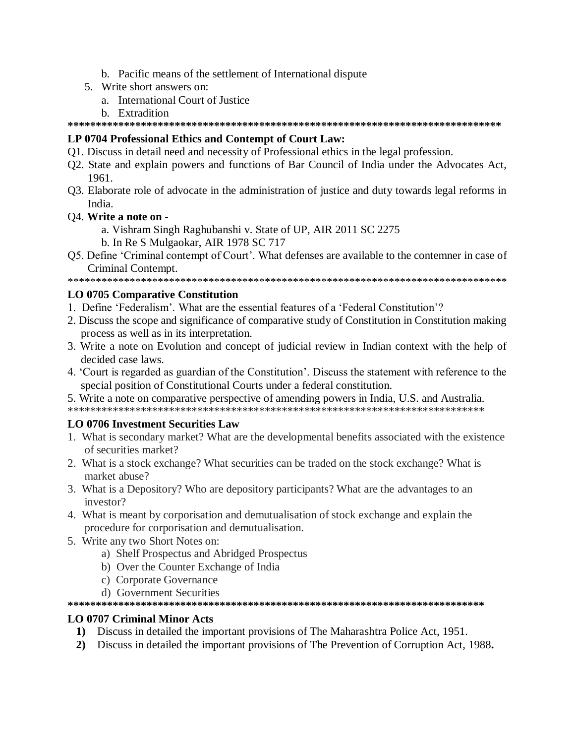- b. Pacific means of the settlement of International dispute
- 5. Write short answers on:
	- a. International Court of Justice
	- b. Extradition

# LP 0704 Professional Ethics and Contempt of Court Law:

- Q1. Discuss in detail need and necessity of Professional ethics in the legal profession.
- Q2. State and explain powers and functions of Bar Council of India under the Advocates Act, 1961.
- Q3. Elaborate role of advocate in the administration of justice and duty towards legal reforms in India.
- Q4. Write a note on
	- a. Vishram Singh Raghubanshi v. State of UP, AIR 2011 SC 2275
	- b. In Re S Mulgaokar, AIR 1978 SC 717
- Q5. Define 'Criminal contempt of Court'. What defenses are available to the contemner in case of Criminal Contempt.

### **LO 0705 Comparative Constitution**

- 1. Define 'Federalism'. What are the essential features of a 'Federal Constitution'?
- 2. Discuss the scope and significance of comparative study of Constitution in Constitution making process as well as in its interpretation.
- 3. Write a note on Evolution and concept of judicial review in Indian context with the help of decided case laws.
- 4. 'Court is regarded as guardian of the Constitution'. Discuss the statement with reference to the special position of Constitutional Courts under a federal constitution.

5. Write a note on comparative perspective of amending powers in India, U.S. and Australia.

# **LO 0706 Investment Securities Law**

- 1. What is secondary market? What are the developmental benefits associated with the existence of securities market?
- 2. What is a stock exchange? What securities can be traded on the stock exchange? What is market abuse?
- 3. What is a Depository? Who are depository participants? What are the advantages to an investor?
- 4. What is meant by corporisation and demutualisation of stock exchange and explain the procedure for corporisation and demutualisation.
- 5. Write any two Short Notes on:
	- a) Shelf Prospectus and Abridged Prospectus
	- b) Over the Counter Exchange of India
	- c) Corporate Governance
	- d) Government Securities

### **LO 0707 Criminal Minor Acts**

- 1) Discuss in detailed the important provisions of The Maharashtra Police Act, 1951.
- 2) Discuss in detailed the important provisions of The Prevention of Corruption Act, 1988.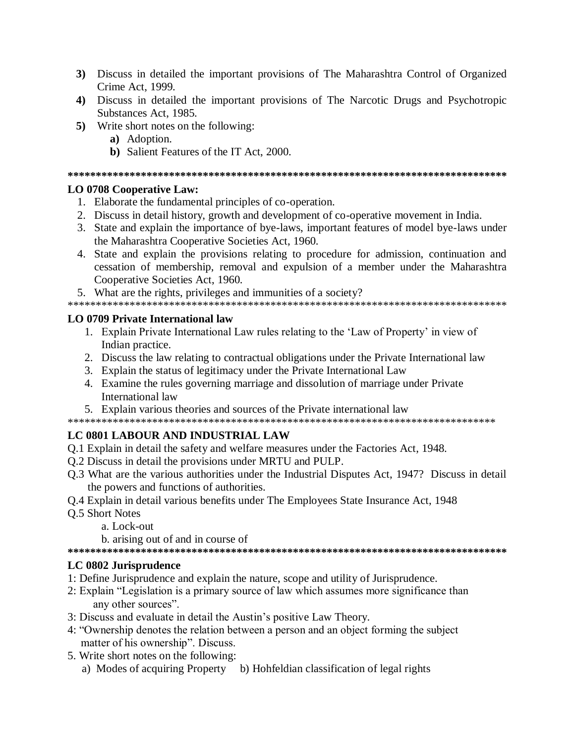- 3) Discuss in detailed the important provisions of The Maharashtra Control of Organized Crime Act, 1999.
- 4) Discuss in detailed the important provisions of The Narcotic Drugs and Psychotropic Substances Act, 1985.
- 5) Write short notes on the following:
	- a) Adoption.
	- b) Salient Features of the IT Act, 2000.

# **LO 0708 Cooperative Law:**

- 1. Elaborate the fundamental principles of co-operation.
- 2. Discuss in detail history, growth and development of co-operative movement in India.
- 3. State and explain the importance of bye-laws, important features of model bye-laws under the Maharashtra Cooperative Societies Act, 1960.
- 4. State and explain the provisions relating to procedure for admission, continuation and cessation of membership, removal and expulsion of a member under the Maharashtra Cooperative Societies Act, 1960.
- 5. What are the rights, privileges and immunities of a society?

### LO 0709 Private International law

- 1. Explain Private International Law rules relating to the 'Law of Property' in view of Indian practice.
- 2. Discuss the law relating to contractual obligations under the Private International law
- 3. Explain the status of legitimacy under the Private International Law
- 4. Examine the rules governing marriage and dissolution of marriage under Private International law
- 5. Explain various theories and sources of the Private international law

# LC 0801 LABOUR AND INDUSTRIAL LAW

- Q.1 Explain in detail the safety and welfare measures under the Factories Act, 1948.
- Q.2 Discuss in detail the provisions under MRTU and PULP.
- Q.3 What are the various authorities under the Industrial Disputes Act, 1947? Discuss in detail the powers and functions of authorities.
- Q.4 Explain in detail various benefits under The Employees State Insurance Act, 1948
- **O.5 Short Notes** 
	- a. Lock-out
	- b. arising out of and in course of

# LC 0802 Jurisprudence

- 1: Define Jurisprudence and explain the nature, scope and utility of Jurisprudence.
- 2: Explain "Legislation is a primary source of law which assumes more significance than any other sources".
- 3: Discuss and evaluate in detail the Austin's positive Law Theory.
- 4: "Ownership denotes the relation between a person and an object forming the subject matter of his ownership". Discuss.
- 5. Write short notes on the following:
	- a) Modes of acquiring Property b) Hohfeldian classification of legal rights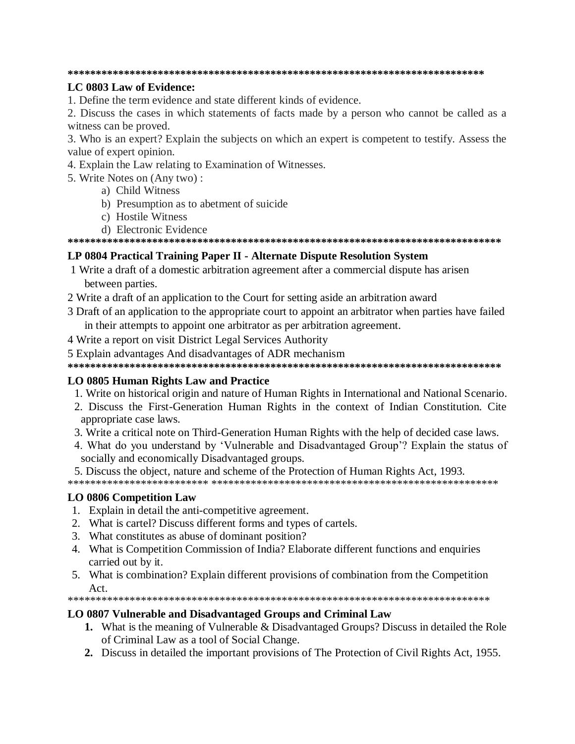### LC 0803 Law of Evidence:

1. Define the term evidence and state different kinds of evidence.

2. Discuss the cases in which statements of facts made by a person who cannot be called as a witness can be proved.

3. Who is an expert? Explain the subjects on which an expert is competent to testify. Assess the value of expert opinion.

- 4. Explain the Law relating to Examination of Witnesses.
- 5. Write Notes on (Any two):
	- a) Child Witness
	- b) Presumption as to abetment of suicide
	- c) Hostile Witness
	- d) Electronic Evidence

### LP 0804 Practical Training Paper II - Alternate Dispute Resolution System

- 1 Write a draft of a domestic arbitration agreement after a commercial dispute has arisen between parties.
- 2 Write a draft of an application to the Court for setting aside an arbitration award
- 3 Draft of an application to the appropriate court to appoint an arbitrator when parties have failed in their attempts to appoint one arbitrator as per arbitration agreement.
- 4 Write a report on visit District Legal Services Authority
- 5 Explain advantages And disadvantages of ADR mechanism

### LO 0805 Human Rights Law and Practice

- 1. Write on historical origin and nature of Human Rights in International and National Scenario.
- 2. Discuss the First-Generation Human Rights in the context of Indian Constitution. Cite appropriate case laws.
- 3. Write a critical note on Third-Generation Human Rights with the help of decided case laws.
- 4. What do you understand by 'Vulnerable and Disadvantaged Group'? Explain the status of socially and economically Disadvantaged groups.
- 5. Discuss the object, nature and scheme of the Protection of Human Rights Act, 1993.

### **LO 0806 Competition Law**

- 1. Explain in detail the anti-competitive agreement.
- 2. What is cartel? Discuss different forms and types of cartels.
- 3. What constitutes as abuse of dominant position?
- 4. What is Competition Commission of India? Elaborate different functions and enquiries carried out by it.
- 5. What is combination? Explain different provisions of combination from the Competition  $\Delta$   $ct$

### LO 0807 Vulnerable and Disadvantaged Groups and Criminal Law

- **1.** What is the meaning of Vulnerable & Disadvantaged Groups? Discuss in detailed the Role of Criminal Law as a tool of Social Change.
- 2. Discuss in detailed the important provisions of The Protection of Civil Rights Act, 1955.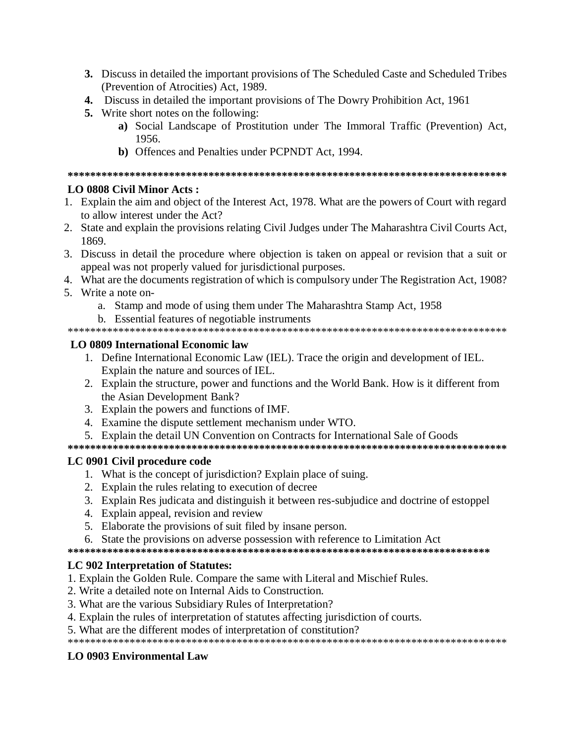- 3. Discuss in detailed the important provisions of The Scheduled Caste and Scheduled Tribes (Prevention of Atrocities) Act, 1989.
- 4. Discuss in detailed the important provisions of The Dowry Prohibition Act, 1961
- **5.** Write short notes on the following:
	- a) Social Landscape of Prostitution under The Immoral Traffic (Prevention) Act, 1956.
	- b) Offences and Penalties under PCPNDT Act, 1994.

# **LO 0808 Civil Minor Acts:**

- 1. Explain the aim and object of the Interest Act, 1978. What are the powers of Court with regard to allow interest under the Act?
- 2. State and explain the provisions relating Civil Judges under The Maharashtra Civil Courts Act, 1869
- 3. Discuss in detail the procedure where objection is taken on appeal or revision that a suit or appeal was not properly valued for jurisdictional purposes.
- 4. What are the documents registration of which is compulsory under The Registration Act, 1908?
- 5. Write a note on
	- a. Stamp and mode of using them under The Maharashtra Stamp Act, 1958
	- b. Essential features of negotiable instruments

# LO 0809 International Economic law

- 1. Define International Economic Law (IEL). Trace the origin and development of IEL. Explain the nature and sources of IEL.
- 2. Explain the structure, power and functions and the World Bank. How is it different from the Asian Development Bank?
- 3. Explain the powers and functions of IMF.
- 4. Examine the dispute settlement mechanism under WTO.
- 5. Explain the detail UN Convention on Contracts for International Sale of Goods

# LC 0901 Civil procedure code

- 1. What is the concept of jurisdiction? Explain place of suing.
- 2. Explain the rules relating to execution of decree
- 3. Explain Res judicata and distinguish it between res-subjudice and doctrine of estoppel
- 4. Explain appeal, revision and review
- 5. Elaborate the provisions of suit filed by insane person.
- 6. State the provisions on adverse possession with reference to Limitation Act

# LC 902 Interpretation of Statutes:

- 1. Explain the Golden Rule. Compare the same with Literal and Mischief Rules.
- 2. Write a detailed note on Internal Aids to Construction.
- 3. What are the various Subsidiary Rules of Interpretation?
- 4. Explain the rules of interpretation of statures affecting jurisdiction of courts.
- 5. What are the different modes of interpretation of constitution?

# **LO 0903 Environmental Law**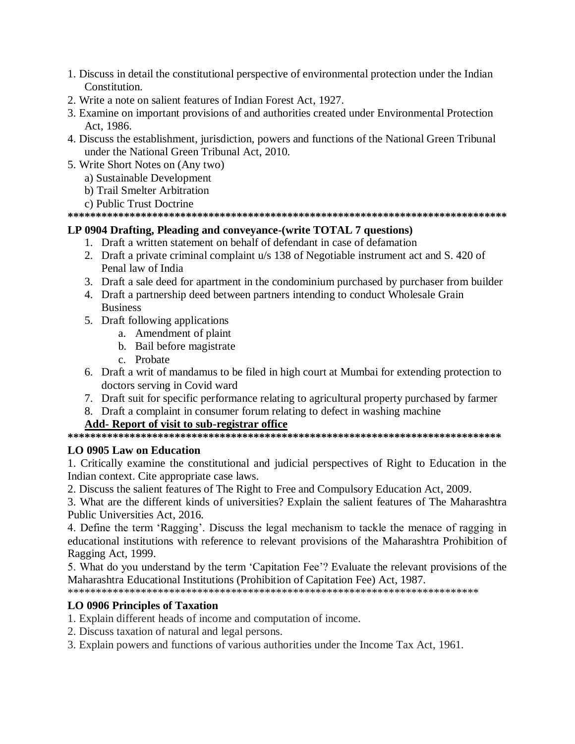- 1. Discuss in detail the constitutional perspective of environmental protection under the Indian Constitution.
- 2. Write a note on salient features of Indian Forest Act, 1927.
- 3. Examine on important provisions of and authorities created under Environmental Protection Act. 1986.
- 4. Discuss the establishment, jurisdiction, powers and functions of the National Green Tribunal under the National Green Tribunal Act, 2010.
- 5. Write Short Notes on (Any two)
	- a) Sustainable Development
	- b) Trail Smelter Arbitration
	- c) Public Trust Doctrine

# LP 0904 Drafting, Pleading and conveyance-(write TOTAL 7 questions)

- 1. Draft a written statement on behalf of defendant in case of defamation
- 2. Draft a private criminal complaint u/s 138 of Negotiable instrument act and S. 420 of Penal law of India
- 3. Draft a sale deed for apartment in the condominium purchased by purchaser from builder
- 4. Draft a partnership deed between partners intending to conduct Wholesale Grain **Business**
- 5. Draft following applications
	- a. Amendment of plaint
	- b. Bail before magistrate
	- c. Probate
- 6. Draft a writ of mandamus to be filed in high court at Mumbai for extending protection to doctors serving in Covid ward
- 7. Draft suit for specific performance relating to agricultural property purchased by farmer
- 8. Draft a complaint in consumer forum relating to defect in washing machine

# Add-Report of visit to sub-registrar office

# **LO 0905 Law on Education**

1. Critically examine the constitutional and judicial perspectives of Right to Education in the Indian context. Cite appropriate case laws.

2. Discuss the salient features of The Right to Free and Compulsory Education Act, 2009.

3. What are the different kinds of universities? Explain the salient features of The Maharashtra Public Universities Act. 2016.

4. Define the term 'Ragging'. Discuss the legal mechanism to tackle the menace of ragging in educational institutions with reference to relevant provisions of the Maharashtra Prohibition of Ragging Act, 1999.

5. What do you understand by the term 'Capitation Fee'? Evaluate the relevant provisions of the Maharashtra Educational Institutions (Prohibition of Capitation Fee) Act. 1987.

# **LO 0906 Principles of Taxation**

- 1. Explain different heads of income and computation of income.
- 2. Discuss taxation of natural and legal persons.
- 3. Explain powers and functions of various authorities under the Income Tax Act, 1961.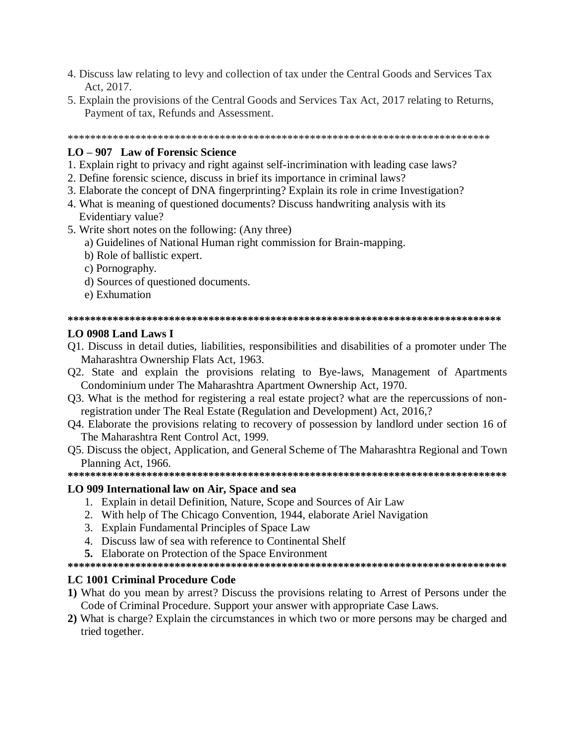- 4. Discuss law relating to levy and collection of tax under the Central Goods and Services Tax Act, 2017.
- 5. Explain the provisions of the Central Goods and Services Tax Act, 2017 relating to Returns, Payment of tax, Refunds and Assessment.

### LO – 907 Law of Forensic Science

- 1. Explain right to privacy and right against self-incrimination with leading case laws?
- 2. Define forensic science, discuss in brief its importance in criminal laws?
- 3. Elaborate the concept of DNA fingerprinting? Explain its role in crime Investigation?
- 4. What is meaning of questioned documents? Discuss handwriting analysis with its Evidentiary value?
- 5. Write short notes on the following: (Any three)
	- a) Guidelines of National Human right commission for Brain-mapping.
	- b) Role of ballistic expert.
	- c) Pornography.
	- d) Sources of questioned documents.
	- e) Exhumation

#### 

#### LO 0908 Land Laws I

- Q1. Discuss in detail duties, liabilities, responsibilities and disabilities of a promoter under The Maharashtra Ownership Flats Act, 1963.
- Q2. State and explain the provisions relating to Bye-laws, Management of Apartments Condominium under The Maharashtra Apartment Ownership Act, 1970.
- O3. What is the method for registering a real estate project? what are the repercussions of nonregistration under The Real Estate (Regulation and Development) Act, 2016,?
- Q4. Elaborate the provisions relating to recovery of possession by landlord under section 16 of The Maharashtra Rent Control Act, 1999.
- O.5. Discuss the object, Application, and General Scheme of The Maharashtra Regional and Town Planning Act, 1966.

#### LO 909 International law on Air, Space and sea

- 1. Explain in detail Definition, Nature, Scope and Sources of Air Law
- 2. With help of The Chicago Convention, 1944, elaborate Ariel Navigation
- 3. Explain Fundamental Principles of Space Law
- 4. Discuss law of sea with reference to Continental Shelf
- 5. Elaborate on Protection of the Space Environment

### **LC 1001 Criminal Procedure Code**

- 1) What do you mean by arrest? Discuss the provisions relating to Arrest of Persons under the Code of Criminal Procedure. Support your answer with appropriate Case Laws.
- 2) What is charge? Explain the circumstances in which two or more persons may be charged and tried together.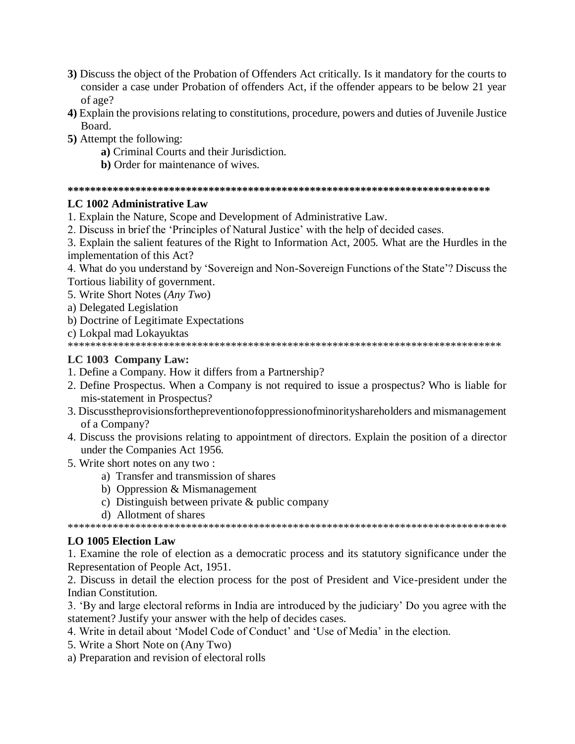- 3) Discuss the object of the Probation of Offenders Act critically. Is it mandatory for the courts to consider a case under Probation of offenders Act, if the offender appears to be below 21 year of age?
- 4) Explain the provisions relating to constitutions, procedure, powers and duties of Juvenile Justice Board.
- 5) Attempt the following:
	- a) Criminal Courts and their Jurisdiction.
	- **b**) Order for maintenance of wives.

# LC 1002 Administrative Law

1. Explain the Nature, Scope and Development of Administrative Law.

2. Discuss in brief the 'Principles of Natural Justice' with the help of decided cases.

3. Explain the salient features of the Right to Information Act, 2005. What are the Hurdles in the implementation of this Act?

4. What do you understand by 'Sovereign and Non-Sovereign Functions of the State'? Discuss the Tortious liability of government.

5. Write Short Notes (Any Two)

- a) Delegated Legislation
- b) Doctrine of Legitimate Expectations
- c) Lokpal mad Lokayuktas

# LC 1003 Company Law:

1. Define a Company. How it differs from a Partnership?

- 2. Define Prospectus. When a Company is not required to issue a prospectus? Who is liable for mis-statement in Prospectus?
- 3. Discussthe provisions for the prevention of oppression of minority shareholders and misman agement of a Company?
- 4. Discuss the provisions relating to appointment of directors. Explain the position of a director under the Companies Act 1956.
- 5. Write short notes on any two:
	- a) Transfer and transmission of shares
	- b) Oppression & Mismanagement
	- c) Distinguish between private  $&$  public company
	- d) Allotment of shares

# **LO 1005 Election Law**

1. Examine the role of election as a democratic process and its statutory significance under the Representation of People Act, 1951.

2. Discuss in detail the election process for the post of President and Vice-president under the Indian Constitution.

3. 'By and large electoral reforms in India are introduced by the judiciary' Do you agree with the statement? Justify your answer with the help of decides cases.

4. Write in detail about 'Model Code of Conduct' and 'Use of Media' in the election.

- 5. Write a Short Note on (Any Two)
- a) Preparation and revision of electoral rolls